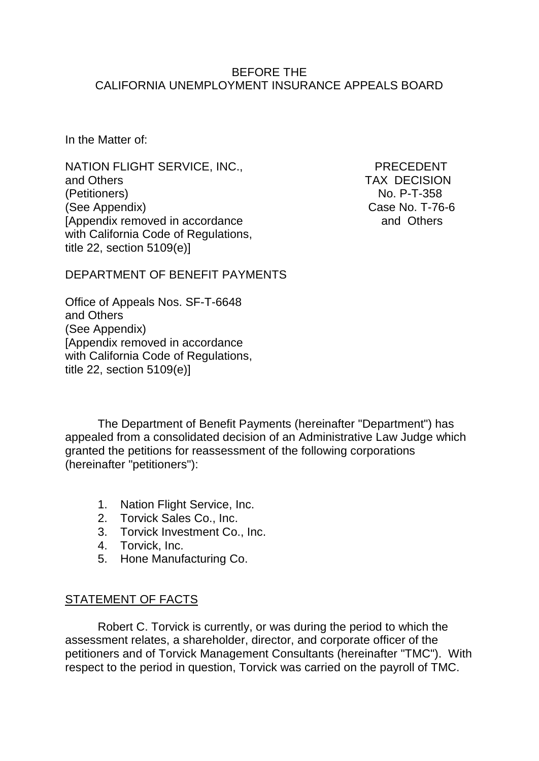#### BEFORE THE CALIFORNIA UNEMPLOYMENT INSURANCE APPEALS BOARD

In the Matter of:

NATION FLIGHT SERVICE, INC., PRECEDENT and Others TAX DECISION (Petitioners) No. P-T-358 (See Appendix) Case No. T-76-6 [Appendix removed in accordance and Others] with California Code of Regulations, title 22, section 5109(e)]

DEPARTMENT OF BENEFIT PAYMENTS

Office of Appeals Nos. SF-T-6648 and Others (See Appendix) [Appendix removed in accordance with California Code of Regulations, title 22, section 5109(e)]

The Department of Benefit Payments (hereinafter "Department") has appealed from a consolidated decision of an Administrative Law Judge which granted the petitions for reassessment of the following corporations (hereinafter "petitioners"):

- 1. Nation Flight Service, Inc.
- 2. Torvick Sales Co., Inc.
- 3. Torvick Investment Co., Inc.
- 4. Torvick, Inc.
- 5. Hone Manufacturing Co.

# STATEMENT OF FACTS

Robert C. Torvick is currently, or was during the period to which the assessment relates, a shareholder, director, and corporate officer of the petitioners and of Torvick Management Consultants (hereinafter "TMC"). With respect to the period in question, Torvick was carried on the payroll of TMC.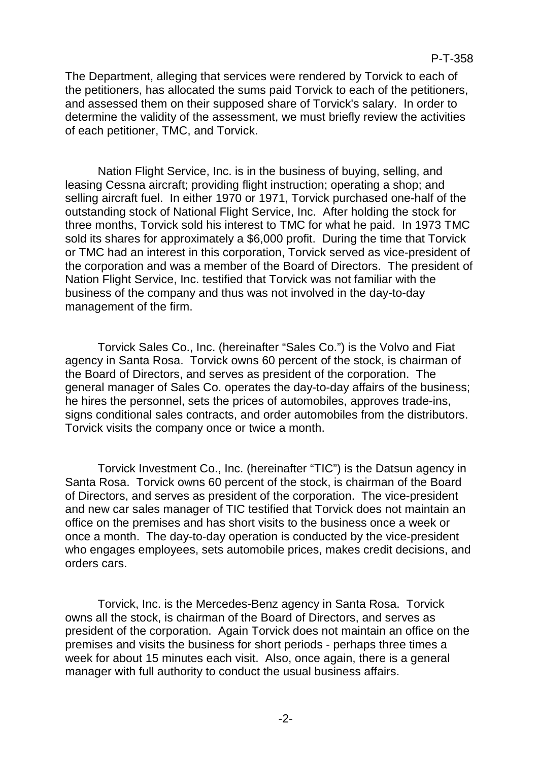The Department, alleging that services were rendered by Torvick to each of the petitioners, has allocated the sums paid Torvick to each of the petitioners, and assessed them on their supposed share of Torvick's salary. In order to determine the validity of the assessment, we must briefly review the activities of each petitioner, TMC, and Torvick.

Nation Flight Service, Inc. is in the business of buying, selling, and leasing Cessna aircraft; providing flight instruction; operating a shop; and selling aircraft fuel. In either 1970 or 1971, Torvick purchased one-half of the outstanding stock of National Flight Service, Inc. After holding the stock for three months, Torvick sold his interest to TMC for what he paid. In 1973 TMC sold its shares for approximately a \$6,000 profit. During the time that Torvick or TMC had an interest in this corporation, Torvick served as vice-president of the corporation and was a member of the Board of Directors. The president of Nation Flight Service, Inc. testified that Torvick was not familiar with the business of the company and thus was not involved in the day-to-day management of the firm.

Torvick Sales Co., Inc. (hereinafter "Sales Co.") is the Volvo and Fiat agency in Santa Rosa. Torvick owns 60 percent of the stock, is chairman of the Board of Directors, and serves as president of the corporation. The general manager of Sales Co. operates the day-to-day affairs of the business; he hires the personnel, sets the prices of automobiles, approves trade-ins, signs conditional sales contracts, and order automobiles from the distributors. Torvick visits the company once or twice a month.

Torvick Investment Co., Inc. (hereinafter "TIC") is the Datsun agency in Santa Rosa. Torvick owns 60 percent of the stock, is chairman of the Board of Directors, and serves as president of the corporation. The vice-president and new car sales manager of TIC testified that Torvick does not maintain an office on the premises and has short visits to the business once a week or once a month. The day-to-day operation is conducted by the vice-president who engages employees, sets automobile prices, makes credit decisions, and orders cars.

Torvick, Inc. is the Mercedes-Benz agency in Santa Rosa. Torvick owns all the stock, is chairman of the Board of Directors, and serves as president of the corporation. Again Torvick does not maintain an office on the premises and visits the business for short periods - perhaps three times a week for about 15 minutes each visit. Also, once again, there is a general manager with full authority to conduct the usual business affairs.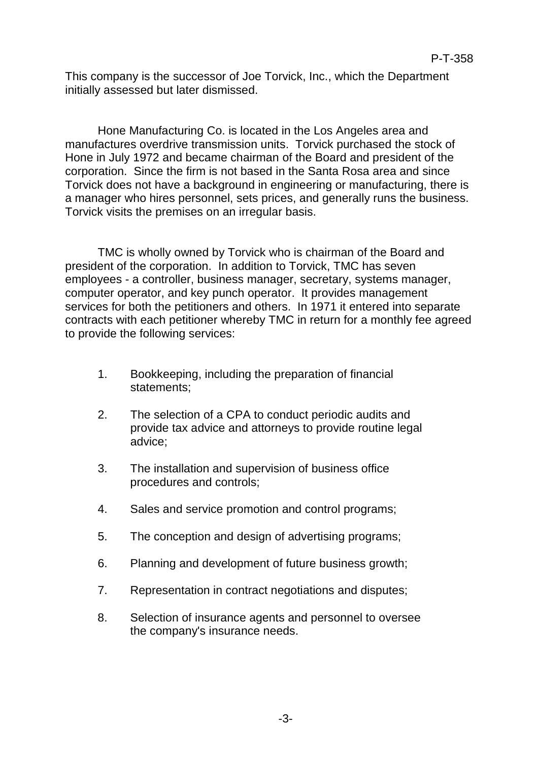This company is the successor of Joe Torvick, Inc., which the Department initially assessed but later dismissed.

Hone Manufacturing Co. is located in the Los Angeles area and manufactures overdrive transmission units. Torvick purchased the stock of Hone in July 1972 and became chairman of the Board and president of the corporation. Since the firm is not based in the Santa Rosa area and since Torvick does not have a background in engineering or manufacturing, there is a manager who hires personnel, sets prices, and generally runs the business. Torvick visits the premises on an irregular basis.

TMC is wholly owned by Torvick who is chairman of the Board and president of the corporation. In addition to Torvick, TMC has seven employees - a controller, business manager, secretary, systems manager, computer operator, and key punch operator. It provides management services for both the petitioners and others. In 1971 it entered into separate contracts with each petitioner whereby TMC in return for a monthly fee agreed to provide the following services:

- 1. Bookkeeping, including the preparation of financial statements;
- 2. The selection of a CPA to conduct periodic audits and provide tax advice and attorneys to provide routine legal advice;
- 3. The installation and supervision of business office procedures and controls;
- 4. Sales and service promotion and control programs;
- 5. The conception and design of advertising programs;
- 6. Planning and development of future business growth;
- 7. Representation in contract negotiations and disputes;
- 8. Selection of insurance agents and personnel to oversee the company's insurance needs.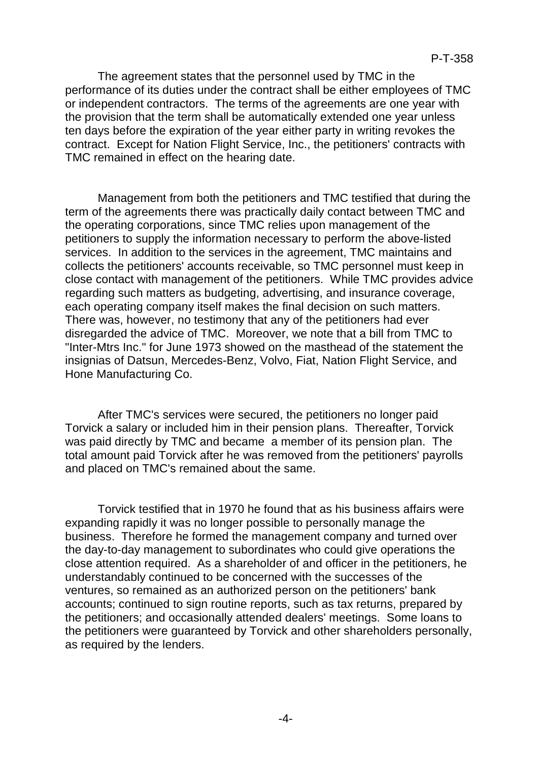The agreement states that the personnel used by TMC in the performance of its duties under the contract shall be either employees of TMC or independent contractors. The terms of the agreements are one year with the provision that the term shall be automatically extended one year unless ten days before the expiration of the year either party in writing revokes the contract. Except for Nation Flight Service, Inc., the petitioners' contracts with TMC remained in effect on the hearing date.

Management from both the petitioners and TMC testified that during the term of the agreements there was practically daily contact between TMC and the operating corporations, since TMC relies upon management of the petitioners to supply the information necessary to perform the above-listed services. In addition to the services in the agreement, TMC maintains and collects the petitioners' accounts receivable, so TMC personnel must keep in close contact with management of the petitioners. While TMC provides advice regarding such matters as budgeting, advertising, and insurance coverage, each operating company itself makes the final decision on such matters. There was, however, no testimony that any of the petitioners had ever disregarded the advice of TMC. Moreover, we note that a bill from TMC to "Inter-Mtrs Inc." for June 1973 showed on the masthead of the statement the insignias of Datsun, Mercedes-Benz, Volvo, Fiat, Nation Flight Service, and Hone Manufacturing Co.

After TMC's services were secured, the petitioners no longer paid Torvick a salary or included him in their pension plans. Thereafter, Torvick was paid directly by TMC and became a member of its pension plan. The total amount paid Torvick after he was removed from the petitioners' payrolls and placed on TMC's remained about the same.

Torvick testified that in 1970 he found that as his business affairs were expanding rapidly it was no longer possible to personally manage the business. Therefore he formed the management company and turned over the day-to-day management to subordinates who could give operations the close attention required. As a shareholder of and officer in the petitioners, he understandably continued to be concerned with the successes of the ventures, so remained as an authorized person on the petitioners' bank accounts; continued to sign routine reports, such as tax returns, prepared by the petitioners; and occasionally attended dealers' meetings. Some loans to the petitioners were guaranteed by Torvick and other shareholders personally, as required by the lenders.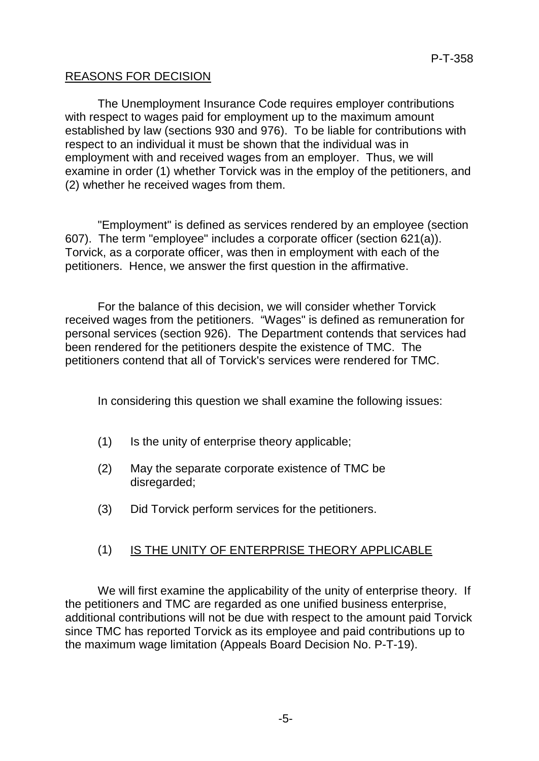#### REASONS FOR DECISION

The Unemployment Insurance Code requires employer contributions with respect to wages paid for employment up to the maximum amount established by law (sections 930 and 976). To be liable for contributions with respect to an individual it must be shown that the individual was in employment with and received wages from an employer. Thus, we will examine in order (1) whether Torvick was in the employ of the petitioners, and (2) whether he received wages from them.

"Employment" is defined as services rendered by an employee (section 607). The term "employee" includes a corporate officer (section 621(a)). Torvick, as a corporate officer, was then in employment with each of the petitioners. Hence, we answer the first question in the affirmative.

For the balance of this decision, we will consider whether Torvick received wages from the petitioners. "Wages" is defined as remuneration for personal services (section 926). The Department contends that services had been rendered for the petitioners despite the existence of TMC. The petitioners contend that all of Torvick's services were rendered for TMC.

In considering this question we shall examine the following issues:

- (1) Is the unity of enterprise theory applicable;
- (2) May the separate corporate existence of TMC be disregarded;
- (3) Did Torvick perform services for the petitioners.

# (1) IS THE UNITY OF ENTERPRISE THEORY APPLICABLE

We will first examine the applicability of the unity of enterprise theory. If the petitioners and TMC are regarded as one unified business enterprise, additional contributions will not be due with respect to the amount paid Torvick since TMC has reported Torvick as its employee and paid contributions up to the maximum wage limitation (Appeals Board Decision No. P-T-19).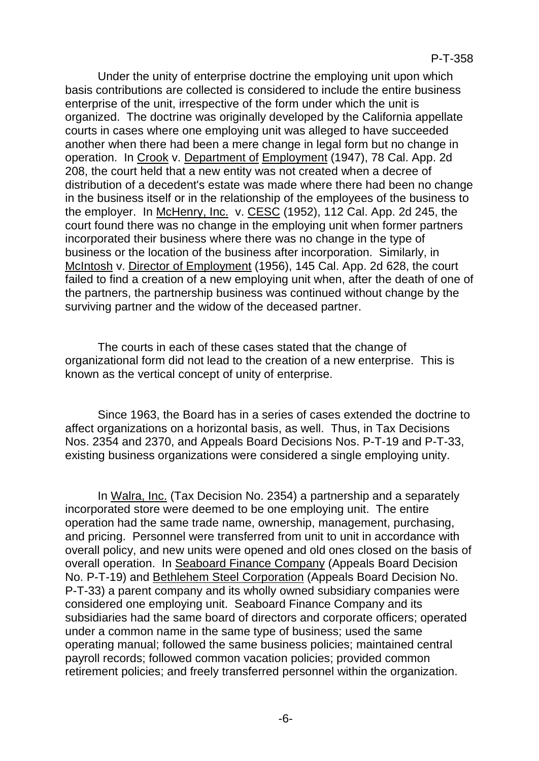Under the unity of enterprise doctrine the employing unit upon which basis contributions are collected is considered to include the entire business enterprise of the unit, irrespective of the form under which the unit is organized. The doctrine was originally developed by the California appellate courts in cases where one employing unit was alleged to have succeeded another when there had been a mere change in legal form but no change in operation. In Crook v. Department of Employment (1947), 78 Cal. App. 2d 208, the court held that a new entity was not created when a decree of distribution of a decedent's estate was made where there had been no change in the business itself or in the relationship of the employees of the business to the employer. In McHenry, Inc. v. CESC (1952), 112 Cal. App. 2d 245, the court found there was no change in the employing unit when former partners incorporated their business where there was no change in the type of business or the location of the business after incorporation. Similarly, in McIntosh v. Director of Employment (1956), 145 Cal. App. 2d 628, the court failed to find a creation of a new employing unit when, after the death of one of the partners, the partnership business was continued without change by the surviving partner and the widow of the deceased partner.

The courts in each of these cases stated that the change of organizational form did not lead to the creation of a new enterprise. This is known as the vertical concept of unity of enterprise.

Since 1963, the Board has in a series of cases extended the doctrine to affect organizations on a horizontal basis, as well. Thus, in Tax Decisions Nos. 2354 and 2370, and Appeals Board Decisions Nos. P-T-19 and P-T-33, existing business organizations were considered a single employing unity.

In Walra, Inc. (Tax Decision No. 2354) a partnership and a separately incorporated store were deemed to be one employing unit. The entire operation had the same trade name, ownership, management, purchasing, and pricing. Personnel were transferred from unit to unit in accordance with overall policy, and new units were opened and old ones closed on the basis of overall operation. In Seaboard Finance Company (Appeals Board Decision No. P-T-19) and Bethlehem Steel Corporation (Appeals Board Decision No. P-T-33) a parent company and its wholly owned subsidiary companies were considered one employing unit. Seaboard Finance Company and its subsidiaries had the same board of directors and corporate officers; operated under a common name in the same type of business; used the same operating manual; followed the same business policies; maintained central payroll records; followed common vacation policies; provided common retirement policies; and freely transferred personnel within the organization.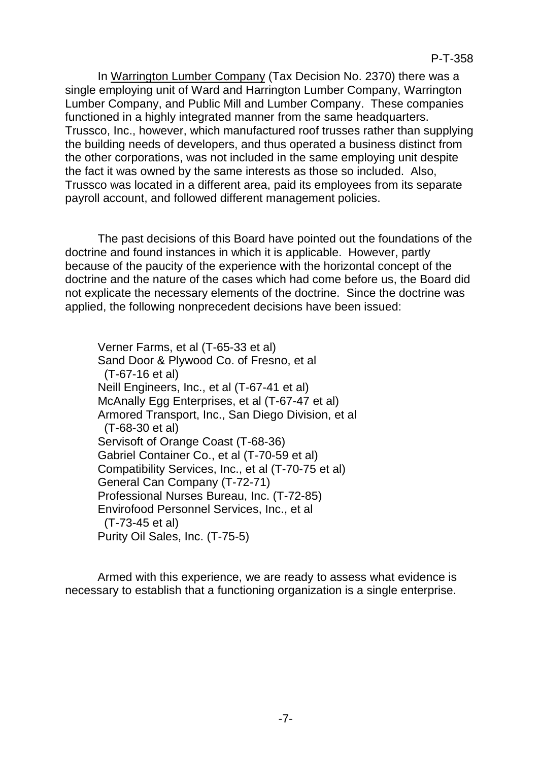In Warrington Lumber Company (Tax Decision No. 2370) there was a single employing unit of Ward and Harrington Lumber Company, Warrington Lumber Company, and Public Mill and Lumber Company. These companies functioned in a highly integrated manner from the same headquarters. Trussco, Inc., however, which manufactured roof trusses rather than supplying the building needs of developers, and thus operated a business distinct from the other corporations, was not included in the same employing unit despite the fact it was owned by the same interests as those so included. Also, Trussco was located in a different area, paid its employees from its separate payroll account, and followed different management policies.

The past decisions of this Board have pointed out the foundations of the doctrine and found instances in which it is applicable. However, partly because of the paucity of the experience with the horizontal concept of the doctrine and the nature of the cases which had come before us, the Board did not explicate the necessary elements of the doctrine. Since the doctrine was applied, the following nonprecedent decisions have been issued:

Verner Farms, et al (T-65-33 et al) Sand Door & Plywood Co. of Fresno, et al (T-67-16 et al) Neill Engineers, Inc., et al (T-67-41 et al) McAnally Egg Enterprises, et al (T-67-47 et al) Armored Transport, Inc., San Diego Division, et al (T-68-30 et al) Servisoft of Orange Coast (T-68-36) Gabriel Container Co., et al (T-70-59 et al) Compatibility Services, Inc., et al (T-70-75 et al) General Can Company (T-72-71) Professional Nurses Bureau, Inc. (T-72-85) Envirofood Personnel Services, Inc., et al (T-73-45 et al) Purity Oil Sales, Inc. (T-75-5)

Armed with this experience, we are ready to assess what evidence is necessary to establish that a functioning organization is a single enterprise.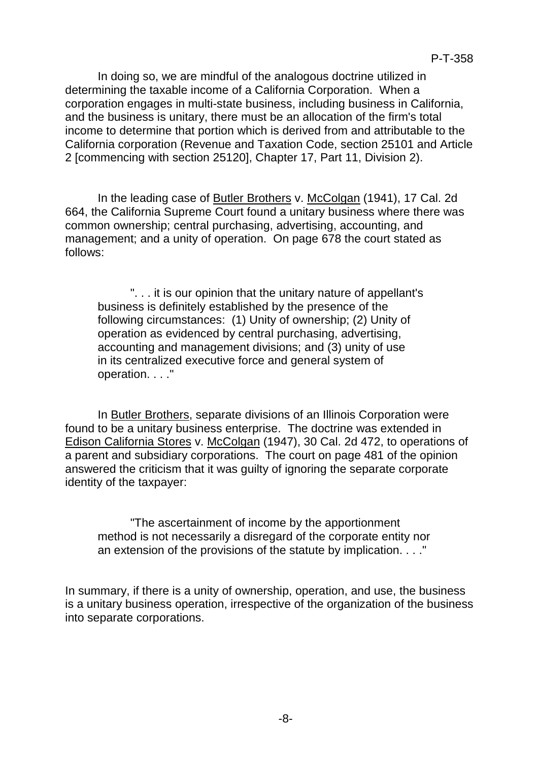In doing so, we are mindful of the analogous doctrine utilized in determining the taxable income of a California Corporation. When a corporation engages in multi-state business, including business in California, and the business is unitary, there must be an allocation of the firm's total income to determine that portion which is derived from and attributable to the California corporation (Revenue and Taxation Code, section 25101 and Article 2 [commencing with section 25120], Chapter 17, Part 11, Division 2).

In the leading case of Butler Brothers v. McColgan (1941), 17 Cal. 2d 664, the California Supreme Court found a unitary business where there was common ownership; central purchasing, advertising, accounting, and management; and a unity of operation. On page 678 the court stated as follows:

". . . it is our opinion that the unitary nature of appellant's business is definitely established by the presence of the following circumstances: (1) Unity of ownership; (2) Unity of operation as evidenced by central purchasing, advertising, accounting and management divisions; and (3) unity of use in its centralized executive force and general system of operation. . . ."

In Butler Brothers, separate divisions of an Illinois Corporation were found to be a unitary business enterprise. The doctrine was extended in Edison California Stores v. McColgan (1947), 30 Cal. 2d 472, to operations of a parent and subsidiary corporations. The court on page 481 of the opinion answered the criticism that it was guilty of ignoring the separate corporate identity of the taxpayer:

"The ascertainment of income by the apportionment method is not necessarily a disregard of the corporate entity nor an extension of the provisions of the statute by implication. . . ."

In summary, if there is a unity of ownership, operation, and use, the business is a unitary business operation, irrespective of the organization of the business into separate corporations.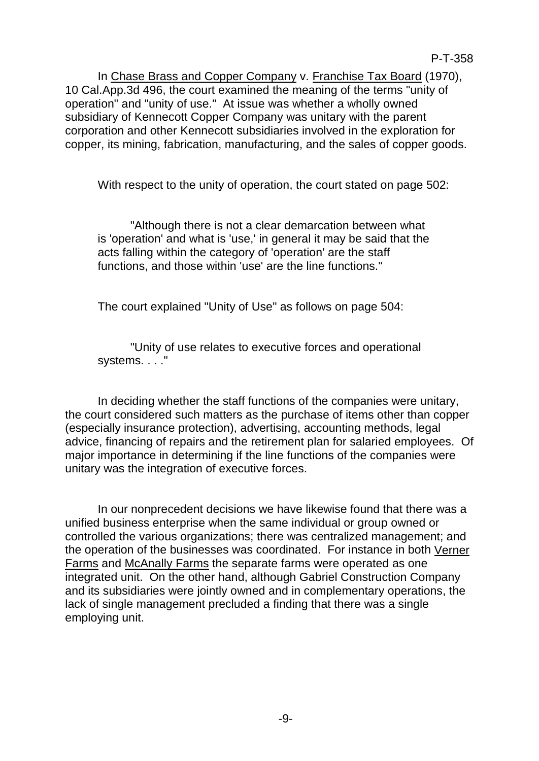In Chase Brass and Copper Company v. Franchise Tax Board (1970), 10 Cal.App.3d 496, the court examined the meaning of the terms "unity of operation" and "unity of use." At issue was whether a wholly owned subsidiary of Kennecott Copper Company was unitary with the parent corporation and other Kennecott subsidiaries involved in the exploration for copper, its mining, fabrication, manufacturing, and the sales of copper goods.

With respect to the unity of operation, the court stated on page 502:

"Although there is not a clear demarcation between what is 'operation' and what is 'use,' in general it may be said that the acts falling within the category of 'operation' are the staff functions, and those within 'use' are the line functions."

The court explained "Unity of Use" as follows on page 504:

"Unity of use relates to executive forces and operational systems. . . ."

In deciding whether the staff functions of the companies were unitary, the court considered such matters as the purchase of items other than copper (especially insurance protection), advertising, accounting methods, legal advice, financing of repairs and the retirement plan for salaried employees. Of major importance in determining if the line functions of the companies were unitary was the integration of executive forces.

In our nonprecedent decisions we have likewise found that there was a unified business enterprise when the same individual or group owned or controlled the various organizations; there was centralized management; and the operation of the businesses was coordinated. For instance in both Verner Farms and McAnally Farms the separate farms were operated as one integrated unit. On the other hand, although Gabriel Construction Company and its subsidiaries were jointly owned and in complementary operations, the lack of single management precluded a finding that there was a single employing unit.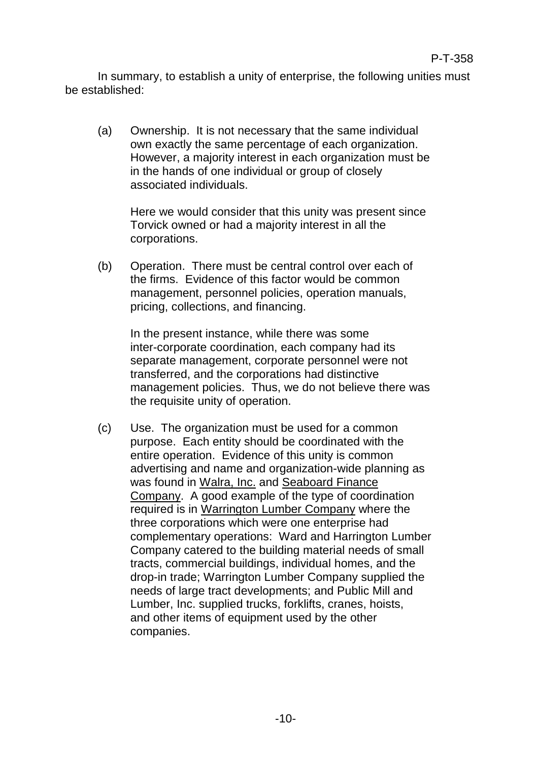In summary, to establish a unity of enterprise, the following unities must be established:

(a) Ownership. It is not necessary that the same individual own exactly the same percentage of each organization. However, a majority interest in each organization must be in the hands of one individual or group of closely associated individuals.

Here we would consider that this unity was present since Torvick owned or had a majority interest in all the corporations.

(b) Operation. There must be central control over each of the firms. Evidence of this factor would be common management, personnel policies, operation manuals, pricing, collections, and financing.

In the present instance, while there was some inter-corporate coordination, each company had its separate management, corporate personnel were not transferred, and the corporations had distinctive management policies. Thus, we do not believe there was the requisite unity of operation.

(c) Use. The organization must be used for a common purpose. Each entity should be coordinated with the entire operation. Evidence of this unity is common advertising and name and organization-wide planning as was found in Walra, Inc. and Seaboard Finance Company. A good example of the type of coordination required is in Warrington Lumber Company where the three corporations which were one enterprise had complementary operations: Ward and Harrington Lumber Company catered to the building material needs of small tracts, commercial buildings, individual homes, and the drop-in trade; Warrington Lumber Company supplied the needs of large tract developments; and Public Mill and Lumber, Inc. supplied trucks, forklifts, cranes, hoists, and other items of equipment used by the other companies.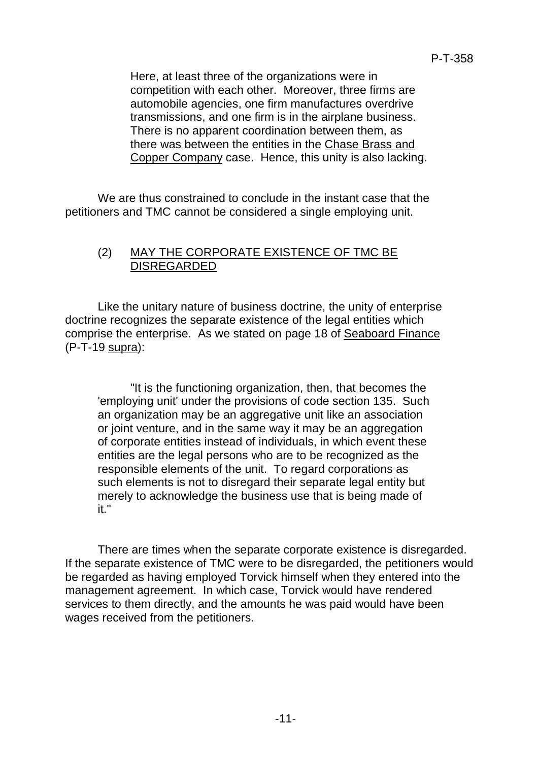Here, at least three of the organizations were in competition with each other. Moreover, three firms are automobile agencies, one firm manufactures overdrive transmissions, and one firm is in the airplane business. There is no apparent coordination between them, as there was between the entities in the Chase Brass and Copper Company case. Hence, this unity is also lacking.

We are thus constrained to conclude in the instant case that the petitioners and TMC cannot be considered a single employing unit.

#### (2) MAY THE CORPORATE EXISTENCE OF TMC BE DISREGARDED

Like the unitary nature of business doctrine, the unity of enterprise doctrine recognizes the separate existence of the legal entities which comprise the enterprise. As we stated on page 18 of Seaboard Finance (P-T-19 supra):

"It is the functioning organization, then, that becomes the 'employing unit' under the provisions of code section 135. Such an organization may be an aggregative unit like an association or joint venture, and in the same way it may be an aggregation of corporate entities instead of individuals, in which event these entities are the legal persons who are to be recognized as the responsible elements of the unit. To regard corporations as such elements is not to disregard their separate legal entity but merely to acknowledge the business use that is being made of it."

There are times when the separate corporate existence is disregarded. If the separate existence of TMC were to be disregarded, the petitioners would be regarded as having employed Torvick himself when they entered into the management agreement. In which case, Torvick would have rendered services to them directly, and the amounts he was paid would have been wages received from the petitioners.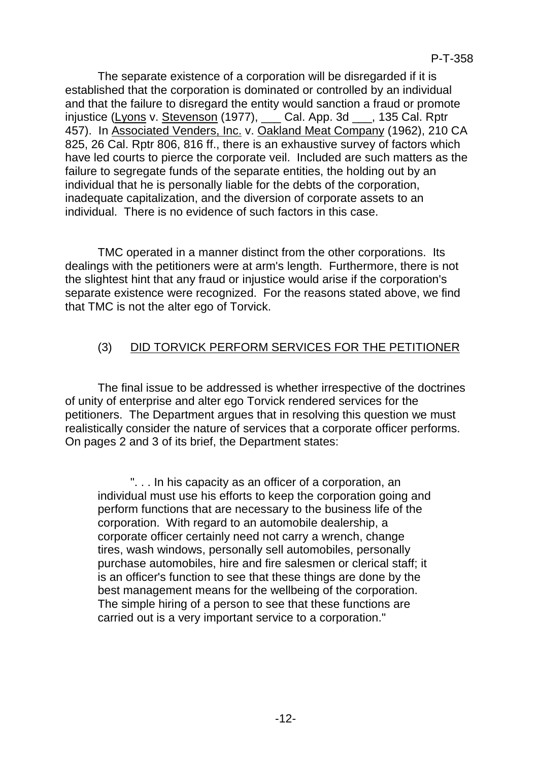The separate existence of a corporation will be disregarded if it is established that the corporation is dominated or controlled by an individual and that the failure to disregard the entity would sanction a fraud or promote injustice (Lyons v. Stevenson (1977), \_\_\_ Cal. App. 3d \_\_\_, 135 Cal. Rptr 457). In Associated Venders, Inc. v. Oakland Meat Company (1962), 210 CA 825, 26 Cal. Rptr 806, 816 ff., there is an exhaustive survey of factors which have led courts to pierce the corporate veil. Included are such matters as the failure to segregate funds of the separate entities, the holding out by an individual that he is personally liable for the debts of the corporation, inadequate capitalization, and the diversion of corporate assets to an individual. There is no evidence of such factors in this case.

TMC operated in a manner distinct from the other corporations. Its dealings with the petitioners were at arm's length. Furthermore, there is not the slightest hint that any fraud or injustice would arise if the corporation's separate existence were recognized. For the reasons stated above, we find that TMC is not the alter ego of Torvick.

# (3) DID TORVICK PERFORM SERVICES FOR THE PETITIONER

The final issue to be addressed is whether irrespective of the doctrines of unity of enterprise and alter ego Torvick rendered services for the petitioners. The Department argues that in resolving this question we must realistically consider the nature of services that a corporate officer performs. On pages 2 and 3 of its brief, the Department states:

". . . In his capacity as an officer of a corporation, an individual must use his efforts to keep the corporation going and perform functions that are necessary to the business life of the corporation. With regard to an automobile dealership, a corporate officer certainly need not carry a wrench, change tires, wash windows, personally sell automobiles, personally purchase automobiles, hire and fire salesmen or clerical staff; it is an officer's function to see that these things are done by the best management means for the wellbeing of the corporation. The simple hiring of a person to see that these functions are carried out is a very important service to a corporation."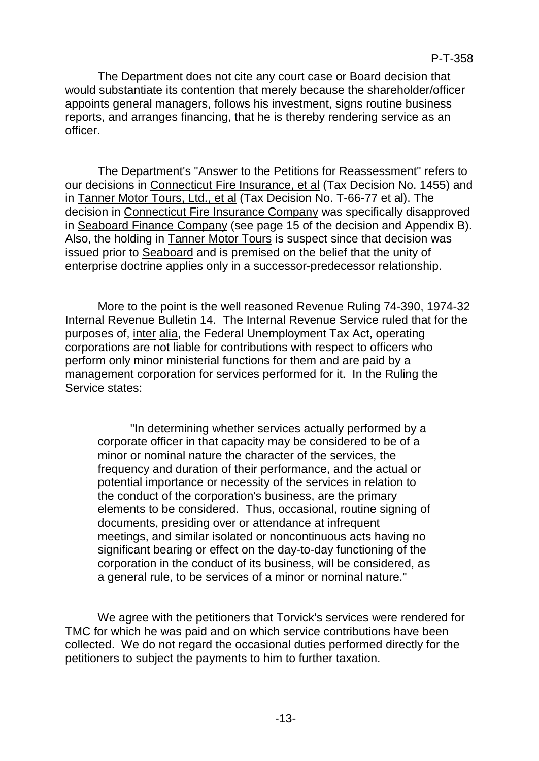The Department does not cite any court case or Board decision that would substantiate its contention that merely because the shareholder/officer appoints general managers, follows his investment, signs routine business reports, and arranges financing, that he is thereby rendering service as an officer.

The Department's "Answer to the Petitions for Reassessment" refers to our decisions in Connecticut Fire Insurance, et al (Tax Decision No. 1455) and in Tanner Motor Tours, Ltd., et al (Tax Decision No. T-66-77 et al). The decision in Connecticut Fire Insurance Company was specifically disapproved in Seaboard Finance Company (see page 15 of the decision and Appendix B). Also, the holding in Tanner Motor Tours is suspect since that decision was issued prior to Seaboard and is premised on the belief that the unity of enterprise doctrine applies only in a successor-predecessor relationship.

More to the point is the well reasoned Revenue Ruling 74-390, 1974-32 Internal Revenue Bulletin 14. The Internal Revenue Service ruled that for the purposes of, inter alia, the Federal Unemployment Tax Act, operating corporations are not liable for contributions with respect to officers who perform only minor ministerial functions for them and are paid by a management corporation for services performed for it. In the Ruling the Service states:

"In determining whether services actually performed by a corporate officer in that capacity may be considered to be of a minor or nominal nature the character of the services, the frequency and duration of their performance, and the actual or potential importance or necessity of the services in relation to the conduct of the corporation's business, are the primary elements to be considered. Thus, occasional, routine signing of documents, presiding over or attendance at infrequent meetings, and similar isolated or noncontinuous acts having no significant bearing or effect on the day-to-day functioning of the corporation in the conduct of its business, will be considered, as a general rule, to be services of a minor or nominal nature."

We agree with the petitioners that Torvick's services were rendered for TMC for which he was paid and on which service contributions have been collected. We do not regard the occasional duties performed directly for the petitioners to subject the payments to him to further taxation.